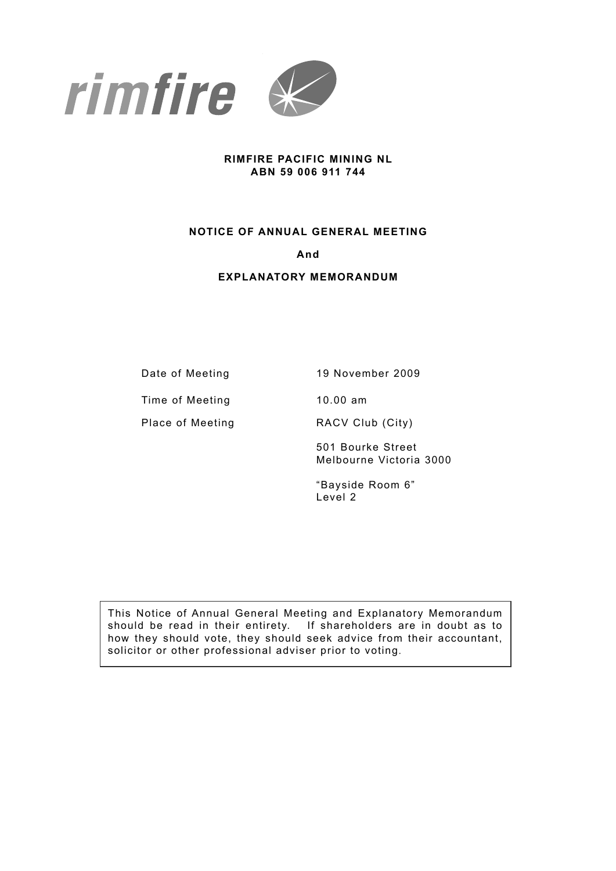

### **RIMFIRE PACIFIC MINING NL ABN 59 006 911 744**

### **NOTICE OF ANNUAL GENERAL MEETING**

### **And**

### **EXPLANATORY MEMORANDUM**

Date of Meeting 19 November 2009

Time of Meeting 10.00 am

Place of Meeting **RACV Club (City)** 

501 Bourke Street Melbourne Victoria 3000

"Bayside Room 6" Level 2

This Notice of Annual General Meeting and Explanatory Memorandum should be read in their entirety. If shareholders are in doubt as to how they should vote, they should seek advice from their accountant, solicitor or other professional adviser prior to voting.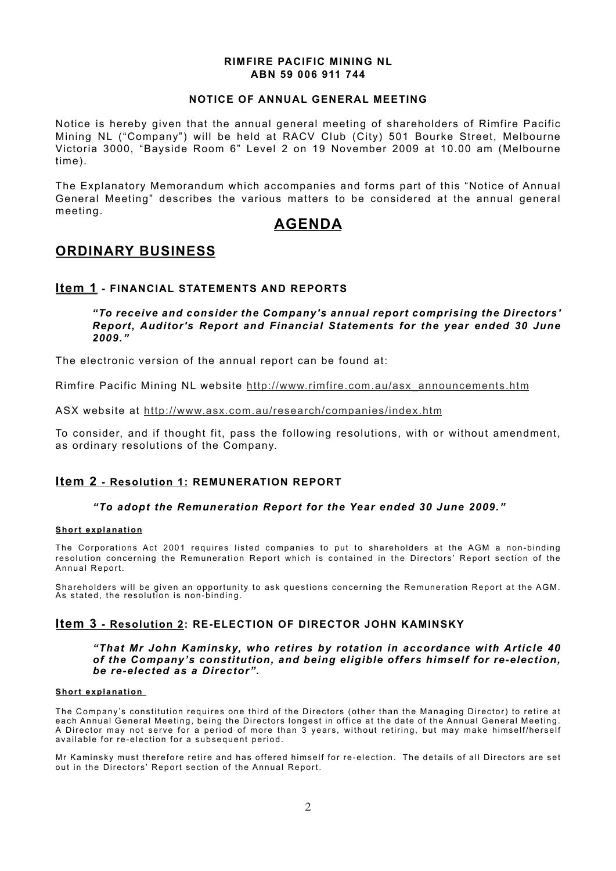### **RIMFIRE PACIFIC MINING NL ABN 59 006 911 744**

### **NOTICE OF ANNUAL GENERAL MEETING**

Notice is hereby given that the annual general meeting of shareholders of Rimfire Pacific Mining NL ("Company") will be held at RACV Club (City) 501 Bourke Street, Melbourne Victoria 3000, "Bayside Room 6" Level 2 on 19 November 2009 at 10.00 am (Melbourne time).

The Explanatory Memorandum which accompanies and forms part of this "Notice of Annual General Meeting" describes the various matters to be considered at the annual general meeting.

## **AGENDA**

## **ORDINARY BUSINESS**

### **Item 1 - FINANCIAL STATEMENTS AND REPORTS**

### *"To receive and consider the Company's annual report comprising the Directors' Report, Auditor's Report and Financial Statements for the year ended 30 June 2009."*

The electronic version of the annual report can be found at:

Rimfire Pacific Mining NL website http://www.rimfire.com.au/asx\_announcements.htm

ASX website at http://www.asx.com.au/research/companies/index.htm

To consider, and if thought fit, pass the following resolutions, with or without amendment, as ordinary resolutions of the Company.

### **Item 2 - Resolution 1: REMUNERATION REPORT**

### *"To adopt the Remuneration Report for the Year ended 30 June 2009."*

### **Short explanation**

The Corporations Act 2001 requires listed companies to put to shareholders at the AGM a non-binding resolution concerning the Remuneration Report which is contained in the Directors' Report section of the Annual Report.

Shareholders will be given an opportunity to ask questions concerning the Remuneration Report at the AGM. As stated, the resolution is non-binding.

### **Item 3 - Resolution 2: RE-ELECTION OF DIRECTOR JOHN KAMINSKY**

#### *"That Mr John Kaminsky, who retires by rotation in accordance with Article 40 of the Company's constitution, and being eligible offers himself for re-election, be re-elected as a Director".*

#### **Short explanation**

The Company's constitution requires one third of the Directors (other than the Managing Director) to retire at each Annual General Meeting, being the Directors longest in office at the date of the Annual General Meeting. A Director may not serve for a period of more than 3 years, without retiring, but may make himself/herself available for re-election for a subsequent period.

Mr Kaminsky must therefore retire and has offered himself for re-election. The details of all Directors are set out in the Directors' Report section of the Annual Report.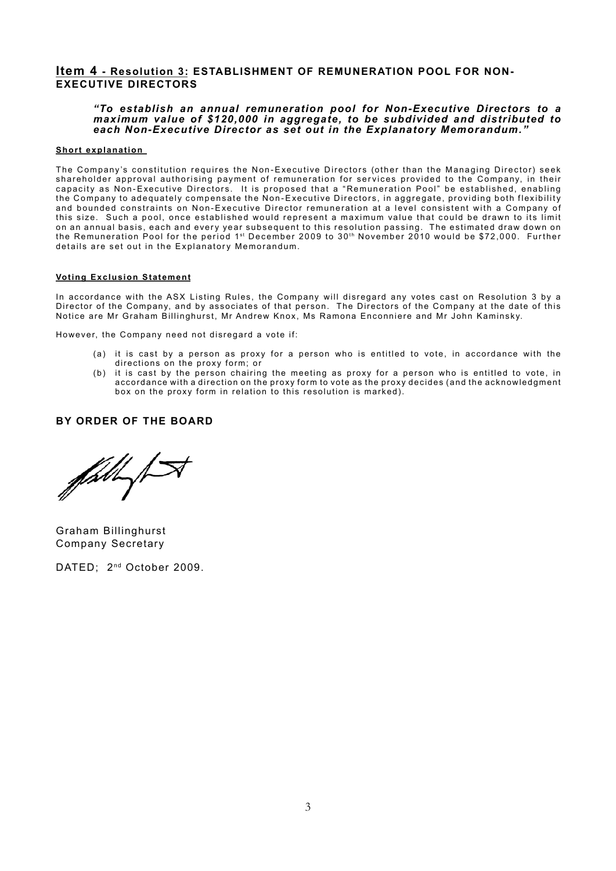### **Item 4 - Resolution 3: ESTABLISHMENT OF REMUNERATION POOL FOR NON-EXECUTIVE DIRECTORS**

#### *"To establish an annual remuneration pool for Non-Executive Directors to a maximum value of \$120,000 in aggregate, to be subdivided and distributed to each Non-Executive Director as set out in the Explanatory Memorandum."*

#### **Short explanation**

The Company's constitution requires the Non-Executive Directors (other than the Managing Director) seek shareholder approval authorising payment of remuneration for services provided to the Company, in their capacity as Non-Executive Directors. It is proposed that a "Remuneration Pool" be established, enabling the Company to adequately compensate the Non-Executive Directors, in aggregate, providing both flexibility and bounded constraints on Non-Executive Director remuneration at a level consistent with a Company of this size. Such a pool, once established would represent a maximum value that could be drawn to its limit on an annual basis, each and every year subsequent to this resolution passing. The estimated draw down on the Remuneration Pool for the period 1st December 2009 to 30th November 2010 would be \$72,000. Further details are set out in the Explanatory Memorandum.

#### **Voting Exclusion Statement**

In accordance with the ASX Listing Rules, the Company will disregard any votes cast on Resolution 3 by a Director of the Company, and by associates of that person. The Directors of the Company at the date of this Notice are Mr Graham Billinghurst, Mr Andrew Knox, Ms Ramona Enconniere and Mr John Kaminsky.

However, the Company need not disregard a vote if:

- (a) it is cast by a person as proxy for a person who is entitled to vote, in accordance with the directions on the proxy form; or
- (b) it is cast by the person chairing the meeting as proxy for a person who is entitled to vote, in accordance with a direction on the proxy form to vote as the proxy decides (and the acknowledgment box on the proxy form in relation to this resolution is marked).

### **BY ORDER OF THE BOARD**

 $\mathscr{J}^\mathscr{A}$ 

Graham Billinghurst Company Secretary

DATED; 2<sup>nd</sup> October 2009.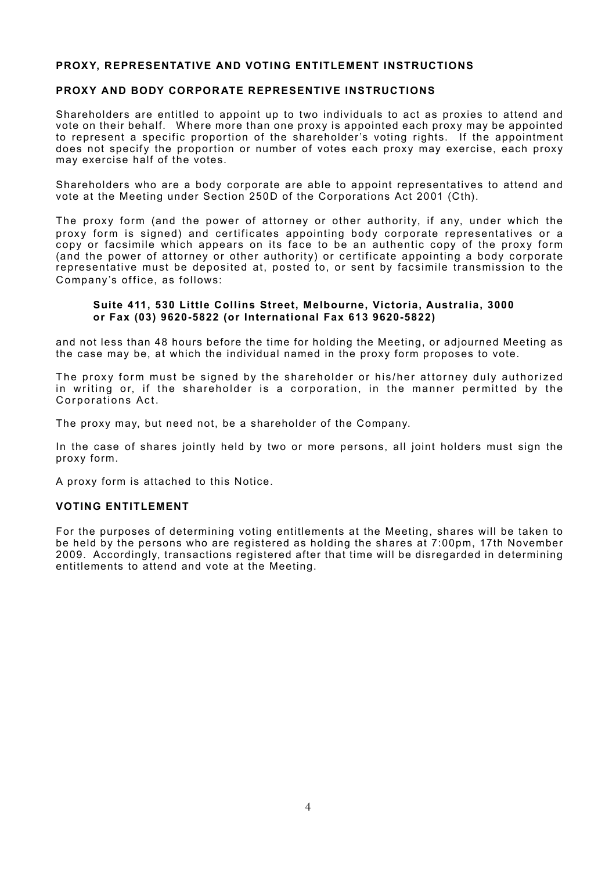### **PROXY, REPRESENTATIVE AND VOTING ENTITLEMENT INSTRUCTIONS**

### **PROXY AND BODY CORPORATE REPRESENTIVE INSTRUCTIONS**

Shareholders are entitled to appoint up to two individuals to act as proxies to attend and vote on their behalf. Where more than one proxy is appointed each proxy may be appointed to represent a specific proportion of the shareholder's voting rights. If the appointment does not specify the proportion or number of votes each proxy may exercise, each proxy may exercise half of the votes.

Shareholders who are a body corporate are able to appoint representatives to attend and vote at the Meeting under Section 250D of the Corporations Act 2001 (Cth).

The proxy form (and the power of attorney or other authority, if any, under which the proxy form is signed) and certificates appointing body corporate representatives or a copy or facsimile which appears on its face to be an authentic copy of the proxy form (and the power of attorney or other authority) or certificate appointing a body corporate representative must be deposited at, posted to, or sent by facsimile transmission to the Company's office, as follows:

### **Suite 411, 530 Little Collins Street, Melbourne, Victoria, Australia, 3000 or Fax (03) 9620-5822 (or International Fax 613 9620-5822)**

and not less than 48 hours before the time for holding the Meeting, or adjourned Meeting as the case may be, at which the individual named in the proxy form proposes to vote.

The proxy form must be signed by the shareholder or his/her attorney duly authorized in writing or, if the shareholder is a corporation, in the manner permitted by the Corporations Act.

The proxy may, but need not, be a shareholder of the Company.

In the case of shares jointly held by two or more persons, all joint holders must sign the proxy form.

A proxy form is attached to this Notice.

### **VOTING ENTITLEMENT**

For the purposes of determining voting entitlements at the Meeting, shares will be taken to be held by the persons who are registered as holding the shares at 7:00pm, 17th November 2009. Accordingly, transactions registered after that time will be disregarded in determining entitlements to attend and vote at the Meeting.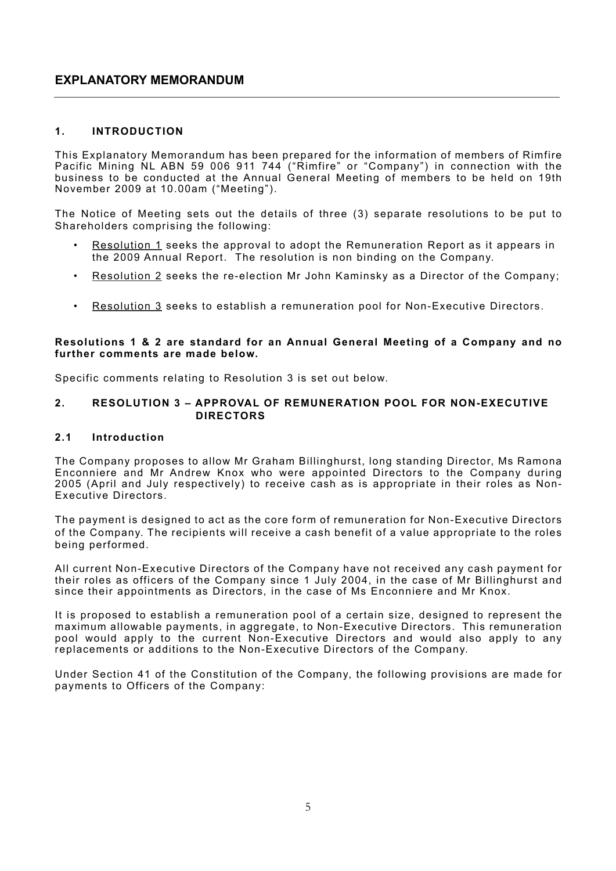## **EXPLANATORY MEMORANDUM**

### **1. Introduction**

This Explanatory Memorandum has been prepared for the information of members of Rimfire Pacific Mining NL ABN 59 006 911 744 ("Rimfire" or "Company") in connection with the business to be conducted at the Annual General Meeting of members to be held on 19th November 2009 at 10.00am ("Meeting").

The Notice of Meeting sets out the details of three (3) separate resolutions to be put to Shareholders comprising the following:

- Resolution 1 seeks the approval to adopt the Remuneration Report as it appears in the 2009 Annual Report. The resolution is non binding on the Company.
- Resolution 2 seeks the re-election Mr John Kaminsky as a Director of the Company;
- Resolution 3 seeks to establish a remuneration pool for Non-Executive Directors.

### **Resolutions 1 & 2 are standard for an Annual General Meeting of a Company and no further comments are made below.**

Specific comments relating to Resolution 3 is set out below.

### **2. Resolution 3 – Approval of REMUNERATION POOL FOR NON-EXECUTIVE Directors**

## **2.1 Introduction**

The Company proposes to allow Mr Graham Billinghurst, long standing Director, Ms Ramona Enconniere and Mr Andrew Knox who were appointed Directors to the Company during 2005 (April and July respectively) to receive cash as is appropriate in their roles as Non-Executive Directors.

The payment is designed to act as the core form of remuneration for Non-Executive Directors of the Company. The recipients will receive a cash benefit of a value appropriate to the roles being performed.

All current Non-Executive Directors of the Company have not received any cash payment for their roles as officers of the Company since 1 July 2004, in the case of Mr Billinghurst and since their appointments as Directors, in the case of Ms Enconniere and Mr Knox.

It is proposed to establish a remuneration pool of a certain size, designed to represent the maximum allowable payments, in aggregate, to Non-Executive Directors. This remuneration pool would apply to the current Non-Executive Directors and would also apply to any replacements or additions to the Non-Executive Directors of the Company.

Under Section 41 of the Constitution of the Company, the following provisions are made for payments to Officers of the Company: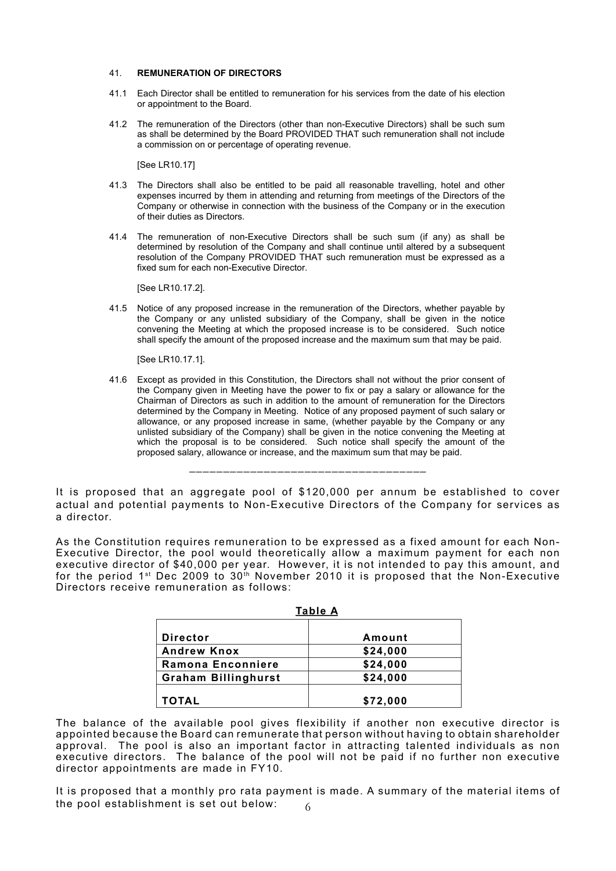#### 41. **REMUNERATION OF DIRECTORS**

- 41.1 Each Director shall be entitled to remuneration for his services from the date of his election or appointment to the Board.
- 41.2 The remuneration of the Directors (other than non-Executive Directors) shall be such sum as shall be determined by the Board PROVIDED THAT such remuneration shall not include a commission on or percentage of operating revenue.

[See LR10.17]

- 41.3 The Directors shall also be entitled to be paid all reasonable travelling, hotel and other expenses incurred by them in attending and returning from meetings of the Directors of the Company or otherwise in connection with the business of the Company or in the execution of their duties as Directors.
- 41.4 The remuneration of non-Executive Directors shall be such sum (if any) as shall be determined by resolution of the Company and shall continue until altered by a subsequent resolution of the Company PROVIDED THAT such remuneration must be expressed as a fixed sum for each non-Executive Director.

[See LR10.17.2].

41.5 Notice of any proposed increase in the remuneration of the Directors, whether payable by the Company or any unlisted subsidiary of the Company, shall be given in the notice convening the Meeting at which the proposed increase is to be considered. Such notice shall specify the amount of the proposed increase and the maximum sum that may be paid.

[See LR10.17.1].

41.6 Except as provided in this Constitution, the Directors shall not without the prior consent of the Company given in Meeting have the power to fix or pay a salary or allowance for the Chairman of Directors as such in addition to the amount of remuneration for the Directors determined by the Company in Meeting. Notice of any proposed payment of such salary or allowance, or any proposed increase in same, (whether payable by the Company or any unlisted subsidiary of the Company) shall be given in the notice convening the Meeting at which the proposal is to be considered. Such notice shall specify the amount of the proposed salary, allowance or increase, and the maximum sum that may be paid.

It is proposed that an aggregate pool of \$120,000 per annum be established to cover actual and potential payments to Non-Executive Directors of the Company for services as a director.

\_\_\_\_\_\_\_\_\_\_\_\_\_\_\_\_\_\_\_\_\_\_\_\_\_\_\_\_\_\_\_\_\_\_\_

As the Constitution requires remuneration to be expressed as a fixed amount for each Non-Executive Director, the pool would theoretically allow a maximum payment for each non executive director of \$40,000 per year. However, it is not intended to pay this amount, and for the period  $1^{st}$  Dec 2009 to 30<sup>th</sup> November 2010 it is proposed that the Non-Executive Directors receive remuneration as follows:

|                            | TADIE A  |
|----------------------------|----------|
| <b>Director</b>            | Amount   |
| <b>Andrew Knox</b>         | \$24,000 |
| Ramona Enconniere          | \$24,000 |
| <b>Graham Billinghurst</b> | \$24,000 |
| <b>TOTAL</b>               | \$72,000 |

|--|

The balance of the available pool gives flexibility if another non executive director is appointed because the Board can remunerate that person without having to obtain shareholder approval. The pool is also an important factor in attracting talented individuals as non executive directors. The balance of the pool will not be paid if no further non executive director appointments are made in FY10.

6 It is proposed that a monthly pro rata payment is made. A summary of the material items of the pool establishment is set out below: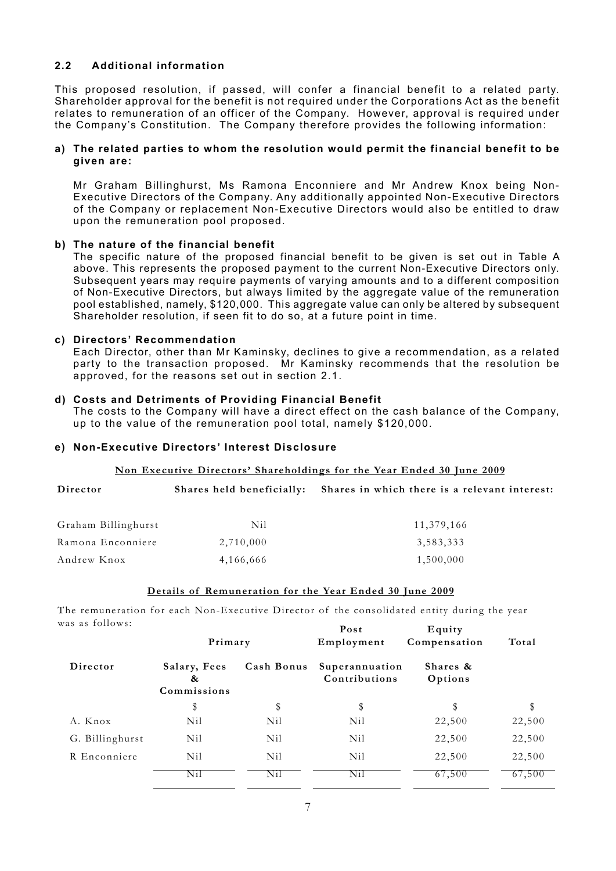### **2.2 Additional information**

This proposed resolution, if passed, will confer a financial benefit to a related party. Shareholder approval for the benefit is not required under the Corporations Act as the benefit relates to remuneration of an officer of the Company. However, approval is required under the Company's Constitution. The Company therefore provides the following information:

### **a) The related parties to whom the resolution would permit the financial benefit to be given are:**

Mr Graham Billinghurst, Ms Ramona Enconniere and Mr Andrew Knox being Non-Executive Directors of the Company. Any additionally appointed Non-Executive Directors of the Company or replacement Non-Executive Directors would also be entitled to draw upon the remuneration pool proposed.

### **b) The nature of the financial benefit**

The specific nature of the proposed financial benefit to be given is set out in Table A above. This represents the proposed payment to the current Non-Executive Directors only. Subsequent years may require payments of varying amounts and to a different composition of Non-Executive Directors, but always limited by the aggregate value of the remuneration pool established, namely, \$120,000. This aggregate value can only be altered by subsequent Shareholder resolution, if seen fit to do so, at a future point in time.

### **c) Directors' Recommendation**

Each Director, other than Mr Kaminsky, declines to give a recommendation, as a related party to the transaction proposed. Mr Kaminsky recommends that the resolution be approved, for the reasons set out in section 2.1.

### **d) Costs and Detriments of Providing Financial Benefit**

The costs to the Company will have a direct effect on the cash balance of the Company, up to the value of the remuneration pool total, namely \$120,000.

### **e) Non-Executive Directors' Interest Disclosure**

### **Non Executive Directors' Shareholdings for the Year Ended 30 June 2009**

| Director            |           | Shares held beneficially: Shares in which there is a relevant interest: |
|---------------------|-----------|-------------------------------------------------------------------------|
| Graham Billinghurst | Nil       | 11,379,166                                                              |
| Ramona Enconniere   | 2,710,000 | 3,583,333                                                               |
| Andrew Knox         | 4,166,666 | 1,500,000                                                               |

#### **Details of Remuneration for the Year Ended 30 June 2009**

The remuneration for each Non-Executive Director of the consolidated entity during the year was as follows:

| av av 10110 m o: | Primary                          |            | Post<br>Employment              | Equity<br>Compensation | Total  |
|------------------|----------------------------------|------------|---------------------------------|------------------------|--------|
| Director         | Salary, Fees<br>&<br>Commissions | Cash Bonus | Superannuation<br>Contributions | Shares &<br>Options    |        |
|                  | \$                               | \$         | \$                              | \$                     | \$     |
| A. Knox          | Nil                              | Nil        | Nil                             | 22,500                 | 22,500 |
| G. Billinghurst  | Nil                              | Nil        | Nil                             | 22,500                 | 22,500 |
| R Enconniere     | Nil                              | Nil        | Nil                             | 22,500                 | 22,500 |
|                  | Nil                              | Nil        | Nil                             | 67,500                 | 67,500 |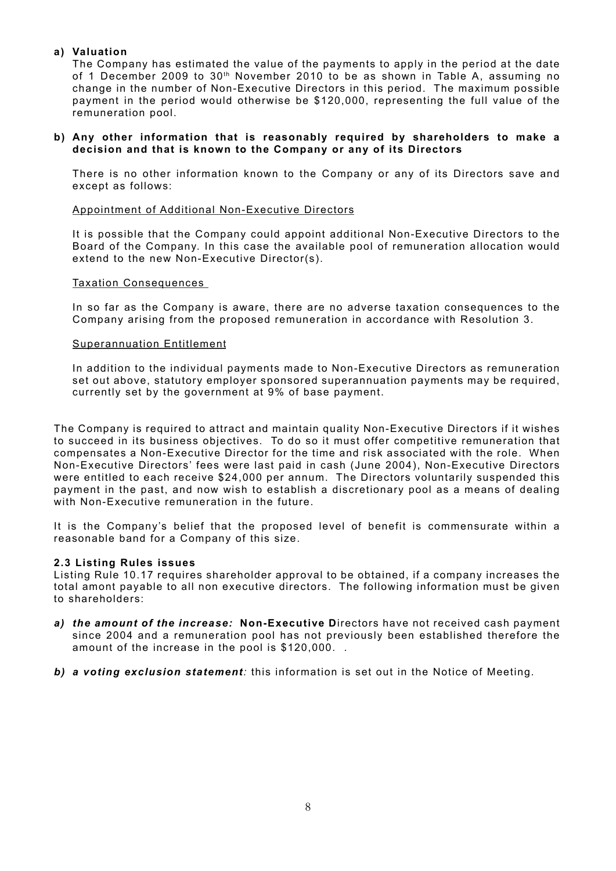### **a) Valuation**

The Company has estimated the value of the payments to apply in the period at the date of 1 December 2009 to 30<sup>th</sup> November 2010 to be as shown in Table A, assuming no change in the number of Non-Executive Directors in this period. The maximum possible payment in the period would otherwise be \$120,000, representing the full value of the remuneration pool.

### **b) Any other information that is reasonably required by shareholders to make a decision and that is known to the Company or any of its Directors**

There is no other information known to the Company or any of its Directors save and except as follows:

### Appointment of Additional Non-Executive Directors

It is possible that the Company could appoint additional Non-Executive Directors to the Board of the Company. In this case the available pool of remuneration allocation would extend to the new Non-Executive Director(s).

### Taxation Consequences

In so far as the Company is aware, there are no adverse taxation consequences to the Company arising from the proposed remuneration in accordance with Resolution 3.

### Superannuation Entitlement

In addition to the individual payments made to Non-Executive Directors as remuneration set out above, statutory employer sponsored superannuation payments may be required, currently set by the government at 9% of base payment.

The Company is required to attract and maintain quality Non-Executive Directors if it wishes to succeed in its business objectives. To do so it must offer competitive remuneration that compensates a Non-Executive Director for the time and risk associated with the role. When Non-Executive Directors' fees were last paid in cash (June 2004), Non-Executive Directors were entitled to each receive \$24,000 per annum. The Directors voluntarily suspended this payment in the past, and now wish to establish a discretionary pool as a means of dealing with Non-Executive remuneration in the future.

It is the Company's belief that the proposed level of benefit is commensurate within a reasonable band for a Company of this size.

### **2.3 Listing Rules issues**

Listing Rule 10.17 requires shareholder approval to be obtained, if a company increases the total amont payable to all non executive directors. The following information must be given to shareholders:

- *a) the amount of the increase:* **Non-Executive D**irectors have not received cash payment since 2004 and a remuneration pool has not previously been established therefore the amount of the increase in the pool is \$120,000. .
- *b) a voting exclusion statement:* this information is set out in the Notice of Meeting.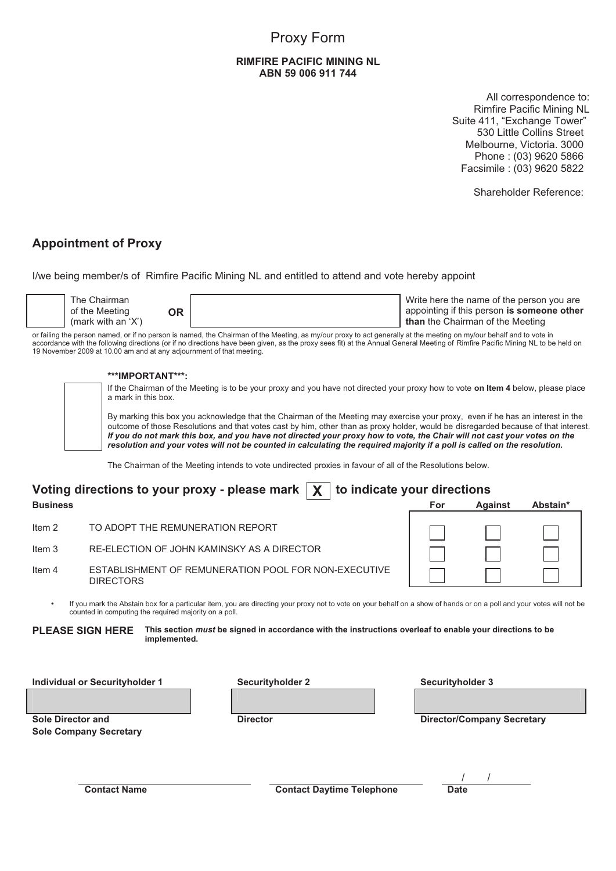# Proxy Form

### **RIMFIRE PACIFIC MINING NL** ABN 59 006 911 744

All correspondence to: Rimfire Pacific Mining NL Suite 411, "Exchange Tower" 530 Little Collins Street Melbourne, Victoria. 3000 Phone: (03) 9620 5866 Facsimile :  $(03)$  9620 5822  $\mathcal{N}$  $\mathcal{N}$  $\mathcal{N}$  Melbourne,  $\mathcal{N}$ 

Shareholder Reference:

## **Appointment of Proxy**

I/we being member/s of Rimfire Pacific Mining NL and entitled to attend and vote hereby appoint

| appointing if this person is someone other<br>of the Meeting<br>ЭR<br>(mark with an $'X'$ )<br>than the Chairman of the Meeting |
|---------------------------------------------------------------------------------------------------------------------------------|
|---------------------------------------------------------------------------------------------------------------------------------|

or failing the person named, or if no person is named, the Chairman of the Meeting, as my/our proxy to act generally at the meeting on my/our behalf and to vote in accordance with the following directions (or if no directions have been given, as the proxy sees fit) at the Annual General Meeting of Rimfire Pacific Mining NL to be held on<br>19 November 2009 et 10.00 cm and at any adjourn 19 November 2009 at 10.00 am and at any adjournment of that meeting.<br>

#### \*\*\*IMPORTANT\*\*\*:  $\overline{\phantom{a}}$  with  $\overline{\phantom{a}}$ T\*\*\*

counted in computing the required majority on a poll.

DIRECTORS

counted in computing the required majority on a poll.

counted in computing the required majority on a poll.

INTERNATION AND CONSIDER SERVICE IS A SUBSERVE AND THE DRIVE IS A SUBSERVEY AND THE UNIVERSITY OF THE UNIVERSIT<br>If the Chairman of the Meeting is to be your proxy and you have not directed your proxy how to vote **on Item 4** a mark in this box. or failing the person named, or if no person is no person is named, the meeting, and to act act act generally a<br>In a mork in this how a cordance with the proxy sees fit no directions  $\alpha$  fit no directions have  $\alpha$ 

By marking this box you acknowledge that the Chairman of the Meeting may exercise your proxy, even if he has an interest in the outcome of those Resolutions and that votes cast by him, other than as proxy holder, would be disregarded because of that interest. buttonle of those Resolutions and that votes cast by him, other than as proxy holder, would be disregarded because or that lifter<br>If you do not mark this box, and you have not directed your proxy how to vote, the Chair wil resolution and your votes will not be counted in calculating the required majority if a poll is called on the resolution.

> The Chairman of the Meeting intends to vote undirected proxies in favour of all of the Resolutions below. *If you do not mark this box, and you have not directed your proxy how to vote, the Chair will not cast your votes on the*  outcome of those Resolutions and that votes cast by him, other than as proxy holder, would be disregarded because of that interest. *If you do not mark this box, and you have not directed your proxy how to vote, the Chair will not cast your votes on the*  outcome of those Resolutions and that votes cast by him, other than as proxy holder, would be disregarded because of that interest. *If you do not mark this box, and you have not directed your proxy how to vote, the Chair will not cast your votes on the*

|                                                                                                                                                                                                                                | Voting directions to your proxy - please mark $\mathbf{X}$<br>to indicate your directions |                                                             |     |                |          |
|--------------------------------------------------------------------------------------------------------------------------------------------------------------------------------------------------------------------------------|-------------------------------------------------------------------------------------------|-------------------------------------------------------------|-----|----------------|----------|
| <b>Business</b>                                                                                                                                                                                                                |                                                                                           |                                                             | For | <b>Against</b> | Abstain* |
| Item 2                                                                                                                                                                                                                         |                                                                                           | TO ADOPT THE REMUNERATION REPORT                            |     |                |          |
| Item 3                                                                                                                                                                                                                         |                                                                                           | RE-ELECTION OF JOHN KAMINSKY AS A DIRECTOR                  |     |                |          |
| Item 4                                                                                                                                                                                                                         | <b>DIRECTORS</b>                                                                          | <b>ESTABLISHMENT OF REMUNERATION POOL FOR NON-EXECUTIVE</b> |     |                |          |
| If you mark the Abstain box for a particular item, you are directing your proxy not to vote on your behalf on a show of hands or on a poll and your votes will not be<br>counted in computing the required majority on a poll. |                                                                                           |                                                             |     |                |          |
| This section <i>must</i> be signed in accordance with the instructions overleaf to enable your directions to be<br><b>PLEASE SIGN HERE</b><br>implemented.                                                                     |                                                                                           |                                                             |     |                |          |

| <b>Individual or Securityholder 1</b>                     | <b>Securityholder 2</b>          | <b>Securityholder 3</b>           |
|-----------------------------------------------------------|----------------------------------|-----------------------------------|
|                                                           |                                  |                                   |
| <b>Sole Director and</b><br><b>Sole Company Secretary</b> | <b>Director</b>                  | <b>Director/Company Secretary</b> |
|                                                           |                                  |                                   |
|                                                           |                                  |                                   |
| <b>Contact Name</b>                                       | <b>Contact Daytime Telephone</b> | <b>Date</b>                       |